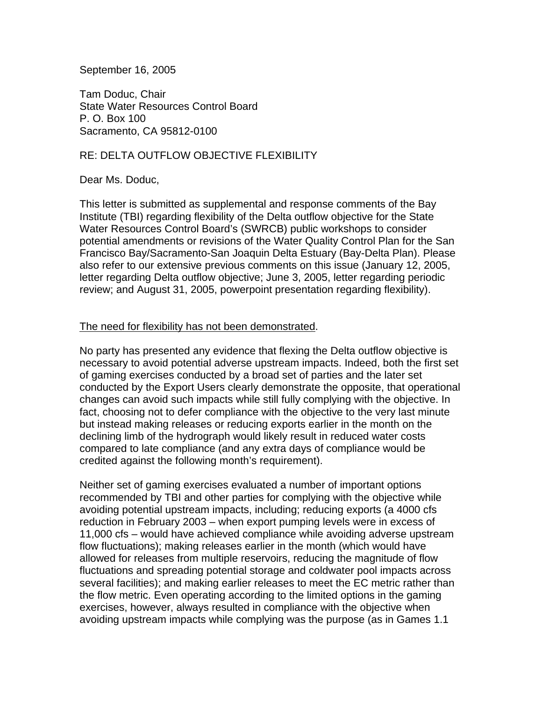September 16, 2005

Tam Doduc, Chair State Water Resources Control Board P. O. Box 100 Sacramento, CA 95812-0100

## RE: DELTA OUTFLOW OBJECTIVE FLEXIBILITY

## Dear Ms. Doduc,

This letter is submitted as supplemental and response comments of the Bay Institute (TBI) regarding flexibility of the Delta outflow objective for the State Water Resources Control Board's (SWRCB) public workshops to consider potential amendments or revisions of the Water Quality Control Plan for the San Francisco Bay/Sacramento-San Joaquin Delta Estuary (Bay-Delta Plan). Please also refer to our extensive previous comments on this issue (January 12, 2005, letter regarding Delta outflow objective; June 3, 2005, letter regarding periodic review; and August 31, 2005, powerpoint presentation regarding flexibility).

## The need for flexibility has not been demonstrated.

No party has presented any evidence that flexing the Delta outflow objective is necessary to avoid potential adverse upstream impacts. Indeed, both the first set of gaming exercises conducted by a broad set of parties and the later set conducted by the Export Users clearly demonstrate the opposite, that operational changes can avoid such impacts while still fully complying with the objective. In fact, choosing not to defer compliance with the objective to the very last minute but instead making releases or reducing exports earlier in the month on the declining limb of the hydrograph would likely result in reduced water costs compared to late compliance (and any extra days of compliance would be credited against the following month's requirement).

Neither set of gaming exercises evaluated a number of important options recommended by TBI and other parties for complying with the objective while avoiding potential upstream impacts, including; reducing exports (a 4000 cfs reduction in February 2003 – when export pumping levels were in excess of 11,000 cfs – would have achieved compliance while avoiding adverse upstream flow fluctuations); making releases earlier in the month (which would have allowed for releases from multiple reservoirs, reducing the magnitude of flow fluctuations and spreading potential storage and coldwater pool impacts across several facilities); and making earlier releases to meet the EC metric rather than the flow metric. Even operating according to the limited options in the gaming exercises, however, always resulted in compliance with the objective when avoiding upstream impacts while complying was the purpose (as in Games 1.1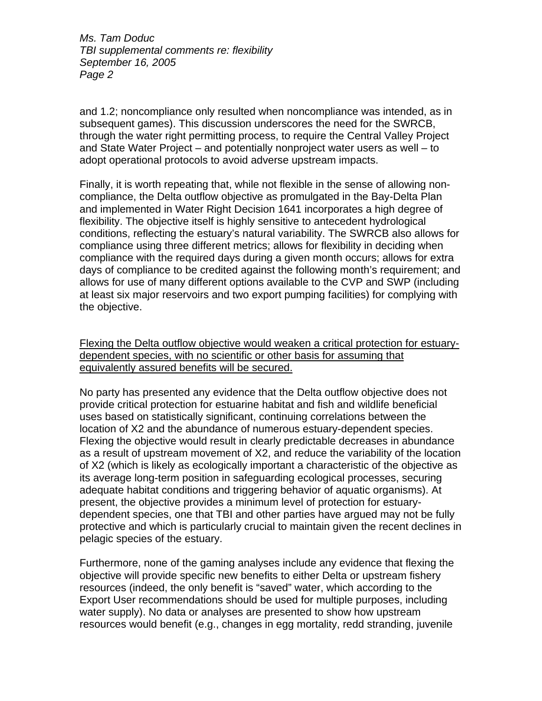and 1.2; noncompliance only resulted when noncompliance was intended, as in subsequent games). This discussion underscores the need for the SWRCB, through the water right permitting process, to require the Central Valley Project and State Water Project – and potentially nonproject water users as well – to adopt operational protocols to avoid adverse upstream impacts.

Finally, it is worth repeating that, while not flexible in the sense of allowing noncompliance, the Delta outflow objective as promulgated in the Bay-Delta Plan and implemented in Water Right Decision 1641 incorporates a high degree of flexibility. The objective itself is highly sensitive to antecedent hydrological conditions, reflecting the estuary's natural variability. The SWRCB also allows for compliance using three different metrics; allows for flexibility in deciding when compliance with the required days during a given month occurs; allows for extra days of compliance to be credited against the following month's requirement; and allows for use of many different options available to the CVP and SWP (including at least six major reservoirs and two export pumping facilities) for complying with the objective.

Flexing the Delta outflow objective would weaken a critical protection for estuarydependent species, with no scientific or other basis for assuming that equivalently assured benefits will be secured.

No party has presented any evidence that the Delta outflow objective does not provide critical protection for estuarine habitat and fish and wildlife beneficial uses based on statistically significant, continuing correlations between the location of X2 and the abundance of numerous estuary-dependent species. Flexing the objective would result in clearly predictable decreases in abundance as a result of upstream movement of X2, and reduce the variability of the location of X2 (which is likely as ecologically important a characteristic of the objective as its average long-term position in safeguarding ecological processes, securing adequate habitat conditions and triggering behavior of aquatic organisms). At present, the objective provides a minimum level of protection for estuarydependent species, one that TBI and other parties have argued may not be fully protective and which is particularly crucial to maintain given the recent declines in pelagic species of the estuary.

Furthermore, none of the gaming analyses include any evidence that flexing the objective will provide specific new benefits to either Delta or upstream fishery resources (indeed, the only benefit is "saved" water, which according to the Export User recommendations should be used for multiple purposes, including water supply). No data or analyses are presented to show how upstream resources would benefit (e.g., changes in egg mortality, redd stranding, juvenile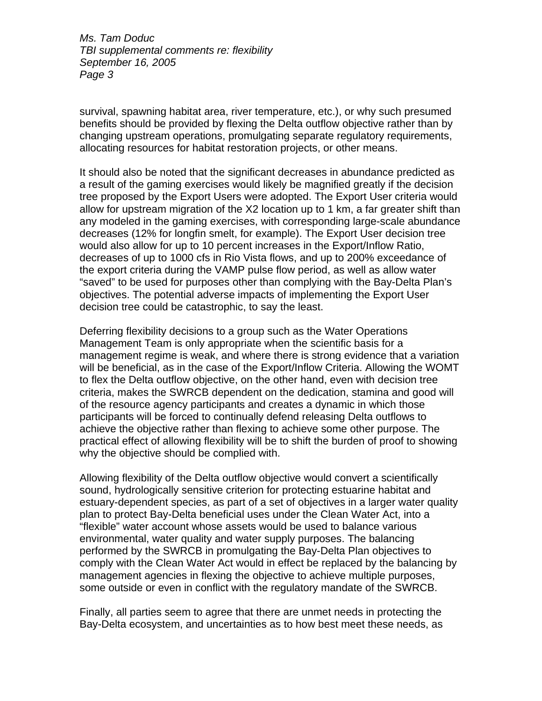survival, spawning habitat area, river temperature, etc.), or why such presumed benefits should be provided by flexing the Delta outflow objective rather than by changing upstream operations, promulgating separate regulatory requirements, allocating resources for habitat restoration projects, or other means.

It should also be noted that the significant decreases in abundance predicted as a result of the gaming exercises would likely be magnified greatly if the decision tree proposed by the Export Users were adopted. The Export User criteria would allow for upstream migration of the X2 location up to 1 km, a far greater shift than any modeled in the gaming exercises, with corresponding large-scale abundance decreases (12% for longfin smelt, for example). The Export User decision tree would also allow for up to 10 percent increases in the Export/Inflow Ratio, decreases of up to 1000 cfs in Rio Vista flows, and up to 200% exceedance of the export criteria during the VAMP pulse flow period, as well as allow water "saved" to be used for purposes other than complying with the Bay-Delta Plan's objectives. The potential adverse impacts of implementing the Export User decision tree could be catastrophic, to say the least.

Deferring flexibility decisions to a group such as the Water Operations Management Team is only appropriate when the scientific basis for a management regime is weak, and where there is strong evidence that a variation will be beneficial, as in the case of the Export/Inflow Criteria. Allowing the WOMT to flex the Delta outflow objective, on the other hand, even with decision tree criteria, makes the SWRCB dependent on the dedication, stamina and good will of the resource agency participants and creates a dynamic in which those participants will be forced to continually defend releasing Delta outflows to achieve the objective rather than flexing to achieve some other purpose. The practical effect of allowing flexibility will be to shift the burden of proof to showing why the objective should be complied with.

Allowing flexibility of the Delta outflow objective would convert a scientifically sound, hydrologically sensitive criterion for protecting estuarine habitat and estuary-dependent species, as part of a set of objectives in a larger water quality plan to protect Bay-Delta beneficial uses under the Clean Water Act, into a "flexible" water account whose assets would be used to balance various environmental, water quality and water supply purposes. The balancing performed by the SWRCB in promulgating the Bay-Delta Plan objectives to comply with the Clean Water Act would in effect be replaced by the balancing by management agencies in flexing the objective to achieve multiple purposes, some outside or even in conflict with the regulatory mandate of the SWRCB.

Finally, all parties seem to agree that there are unmet needs in protecting the Bay-Delta ecosystem, and uncertainties as to how best meet these needs, as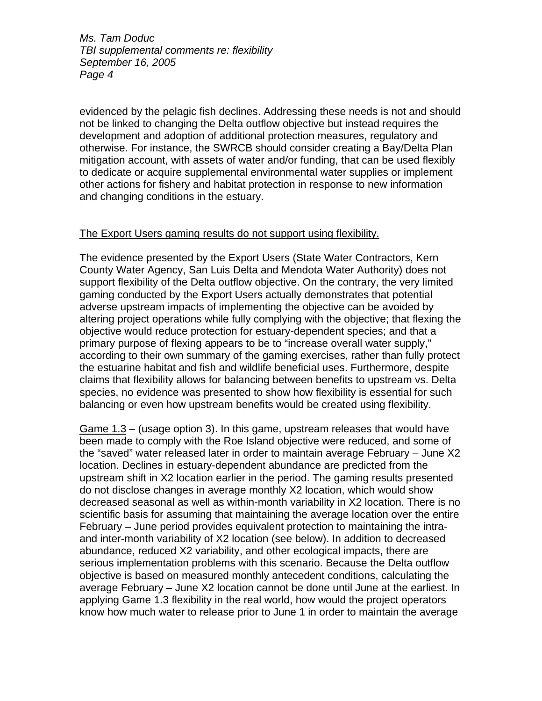evidenced by the pelagic fish declines. Addressing these needs is not and should not be linked to changing the Delta outflow objective but instead requires the development and adoption of additional protection measures, regulatory and otherwise. For instance, the SWRCB should consider creating a Bay/Delta Plan mitigation account, with assets of water and/or funding, that can be used flexibly to dedicate or acquire supplemental environmental water supplies or implement other actions for fishery and habitat protection in response to new information and changing conditions in the estuary.

## The Export Users gaming results do not support using flexibility.

The evidence presented by the Export Users (State Water Contractors, Kern County Water Agency, San Luis Delta and Mendota Water Authority) does not support flexibility of the Delta outflow objective. On the contrary, the very limited gaming conducted by the Export Users actually demonstrates that potential adverse upstream impacts of implementing the objective can be avoided by altering project operations while fully complying with the objective; that flexing the objective would reduce protection for estuary-dependent species; and that a primary purpose of flexing appears to be to "increase overall water supply," according to their own summary of the gaming exercises, rather than fully protect the estuarine habitat and fish and wildlife beneficial uses. Furthermore, despite claims that flexibility allows for balancing between benefits to upstream vs. Delta species, no evidence was presented to show how flexibility is essential for such balancing or even how upstream benefits would be created using flexibility.

Game 1.3 – (usage option 3). In this game, upstream releases that would have been made to comply with the Roe Island objective were reduced, and some of the "saved" water released later in order to maintain average February – June X2 location. Declines in estuary-dependent abundance are predicted from the upstream shift in X2 location earlier in the period. The gaming results presented do not disclose changes in average monthly X2 location, which would show decreased seasonal as well as within-month variability in X2 location. There is no scientific basis for assuming that maintaining the average location over the entire February – June period provides equivalent protection to maintaining the intraand inter-month variability of X2 location (see below). In addition to decreased abundance, reduced X2 variability, and other ecological impacts, there are serious implementation problems with this scenario. Because the Delta outflow objective is based on measured monthly antecedent conditions, calculating the average February – June X2 location cannot be done until June at the earliest. In applying Game 1.3 flexibility in the real world, how would the project operators know how much water to release prior to June 1 in order to maintain the average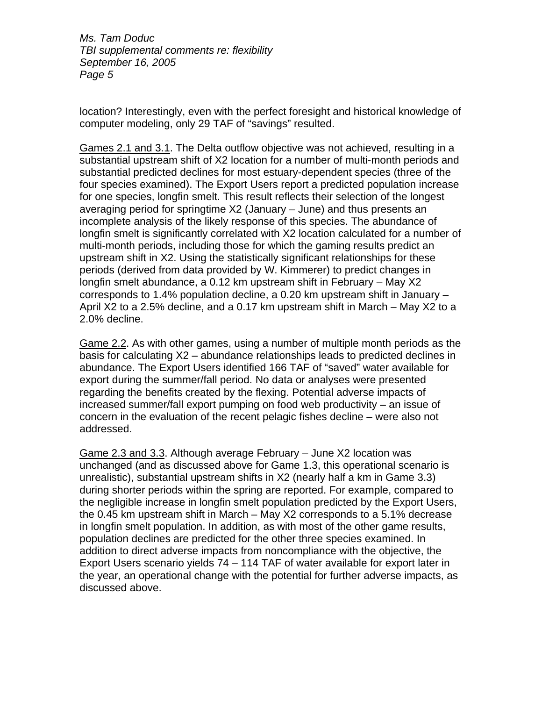location? Interestingly, even with the perfect foresight and historical knowledge of computer modeling, only 29 TAF of "savings" resulted.

Games 2.1 and 3.1. The Delta outflow objective was not achieved, resulting in a substantial upstream shift of X2 location for a number of multi-month periods and substantial predicted declines for most estuary-dependent species (three of the four species examined). The Export Users report a predicted population increase for one species, longfin smelt. This result reflects their selection of the longest averaging period for springtime X2 (January – June) and thus presents an incomplete analysis of the likely response of this species. The abundance of longfin smelt is significantly correlated with X2 location calculated for a number of multi-month periods, including those for which the gaming results predict an upstream shift in X2. Using the statistically significant relationships for these periods (derived from data provided by W. Kimmerer) to predict changes in longfin smelt abundance, a 0.12 km upstream shift in February – May X2 corresponds to 1.4% population decline, a 0.20 km upstream shift in January – April X2 to a 2.5% decline, and a 0.17 km upstream shift in March – May X2 to a 2.0% decline.

Game 2.2. As with other games, using a number of multiple month periods as the basis for calculating X2 – abundance relationships leads to predicted declines in abundance. The Export Users identified 166 TAF of "saved" water available for export during the summer/fall period. No data or analyses were presented regarding the benefits created by the flexing. Potential adverse impacts of increased summer/fall export pumping on food web productivity – an issue of concern in the evaluation of the recent pelagic fishes decline – were also not addressed.

Game 2.3 and 3.3. Although average February – June X2 location was unchanged (and as discussed above for Game 1.3, this operational scenario is unrealistic), substantial upstream shifts in X2 (nearly half a km in Game 3.3) during shorter periods within the spring are reported. For example, compared to the negligible increase in longfin smelt population predicted by the Export Users, the 0.45 km upstream shift in March – May X2 corresponds to a 5.1% decrease in longfin smelt population. In addition, as with most of the other game results, population declines are predicted for the other three species examined. In addition to direct adverse impacts from noncompliance with the objective, the Export Users scenario yields 74 – 114 TAF of water available for export later in the year, an operational change with the potential for further adverse impacts, as discussed above.